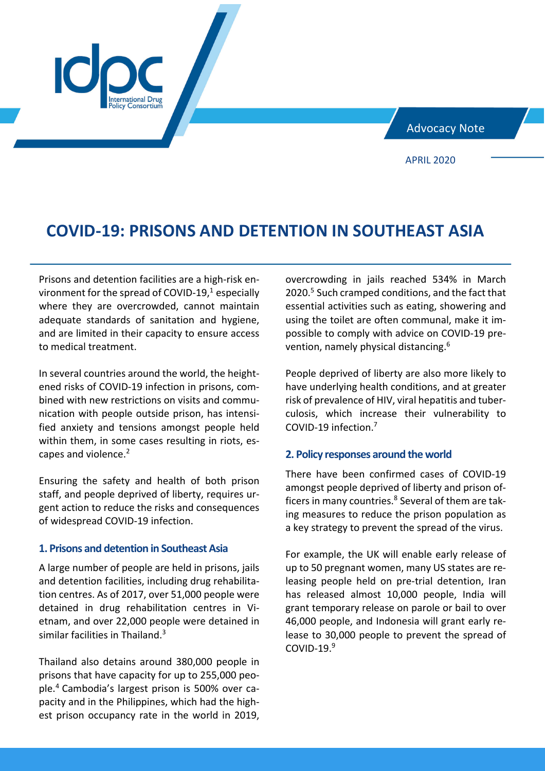Advocacy Note

APRIL 2020

# **COVID-19: PRISONS AND DETENTION IN SOUTHEAST ASIA**

Prisons and detention facilities are a high-risk environment for the spread of COVID-19, $1$  especially where they are overcrowded, cannot maintain adequate standards of sanitation and hygiene, and are limited in their capacity to ensure access to medical treatment.

In several countries around the world, the heightened risks of COVID-19 infection in prisons, combined with new restrictions on visits and communication with people outside prison, has intensified anxiety and tensions amongst people held within them, in some cases resulting in riots, escapes and violence.<sup>2</sup>

Ensuring the safety and health of both prison staff, and people deprived of liberty, requires urgent action to reduce the risks and consequences of widespread COVID-19 infection.

## **1. Prisons and detention in Southeast Asia**

A large number of people are held in prisons, jails and detention facilities, including drug rehabilitation centres. As of 2017, over 51,000 people were detained in drug rehabilitation centres in Vietnam, and over 22,000 people were detained in similar facilities in Thailand.<sup>3</sup>

Thailand also detains around 380,000 people in prisons that have capacity for up to 255,000 people. <sup>4</sup> Cambodia's largest prison is 500% over capacity and in the Philippines, which had the highest prison occupancy rate in the world in 2019, overcrowding in jails reached 534% in March 2020.<sup>5</sup> Such cramped conditions, and the fact that essential activities such as eating, showering and using the toilet are often communal, make it impossible to comply with advice on COVID-19 prevention, namely physical distancing.<sup>6</sup>

People deprived of liberty are also more likely to have underlying health conditions, and at greater risk of prevalence of HIV, viral hepatitis and tuberculosis, which increase their vulnerability to COVID-19 infection.7

### **2. Policy responses around the world**

There have been confirmed cases of COVID-19 amongst people deprived of liberty and prison officers in many countries.<sup>8</sup> Several of them are taking measures to reduce the prison population as a key strategy to prevent the spread of the virus.

For example, the UK will enable early release of up to 50 pregnant women, many US states are releasing people held on pre-trial detention, Iran has released almost 10,000 people, India will grant temporary release on parole or bail to over 46,000 people, and Indonesia will grant early release to 30,000 people to prevent the spread of COVID-19. $9$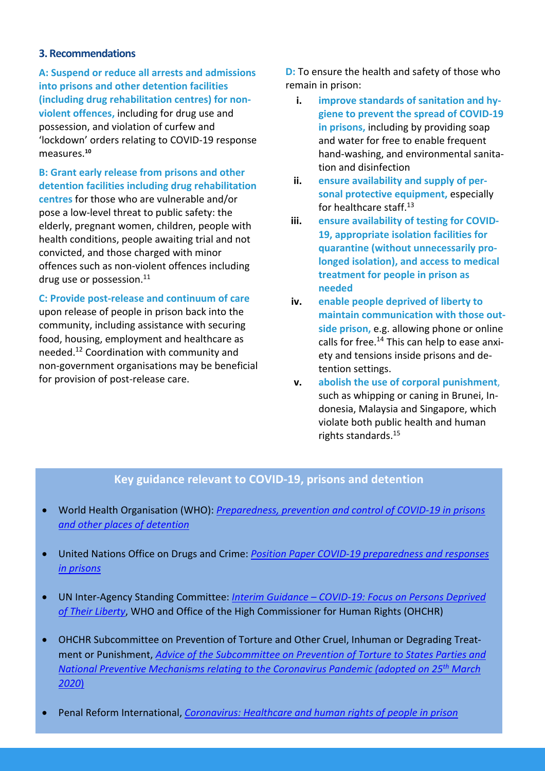# **3. Recommendations**

**A: Suspend or reduce all arrests and admissions into prisons and other detention facilities (including drug rehabilitation centres) for nonviolent offences,** including for drug use and possession, and violation of curfew and 'lockdown' orders relating to COVID-19 response measures.**<sup>10</sup>**

**B: Grant early release from prisons and other detention facilities including drug rehabilitation centres** for those who are vulnerable and/or pose a low-level threat to public safety: the elderly, pregnant women, children, people with health conditions, people awaiting trial and not convicted, and those charged with minor offences such as non-violent offences including drug use or possession.<sup>11</sup>

**C: Provide post-release and continuum of care** upon release of people in prison back into the

community, including assistance with securing food, housing, employment and healthcare as needed.12 Coordination with community and non-government organisations may be beneficial for provision of post-release care.

**D:** To ensure the health and safety of those who remain in prison:

- **i. improve standards of sanitation and hygiene to prevent the spread of COVID-19 in prisons,** including by providing soap and water for free to enable frequent hand-washing, and environmental sanitation and disinfection
- **ii. ensure availability and supply of personal protective equipment,** especially for healthcare staff.13
- **iii. ensure availability of testing for COVID-19, appropriate isolation facilities for quarantine (without unnecessarily prolonged isolation), and access to medical treatment for people in prison as needed**
- **iv. enable people deprived of liberty to maintain communication with those outside prison,** e.g. allowing phone or online calls for free.<sup>14</sup> This can help to ease anxiety and tensions inside prisons and detention settings.
- **v. abolish the use of corporal punishment**, such as whipping or caning in Brunei, Indonesia, Malaysia and Singapore, which violate both public health and human rights standards.15

# **Key guidance relevant to COVID-19, prisons and detention**

- World Health Organisation (WHO): *Preparedness, prevention and control of COVID-19 in prisons and other places of detention*
- United Nations Office on Drugs and Crime: *Position Paper COVID-19 preparedness and responses in prisons*
- UN Inter-Agency Standing Committee: *Interim Guidance – COVID-19: Focus on Persons Deprived of Their Liberty*, WHO and Office of the High Commissioner for Human Rights (OHCHR)
- OHCHR Subcommittee on Prevention of Torture and Other Cruel, Inhuman or Degrading Treatment or Punishment, *Advice of the Subcommittee on Prevention of Torture to States Parties and National Preventive Mechanisms relating to the Coronavirus Pandemic (adopted on 25th March 2020*)
- Penal Reform International, *Coronavirus: Healthcare and human rights of people in prison*